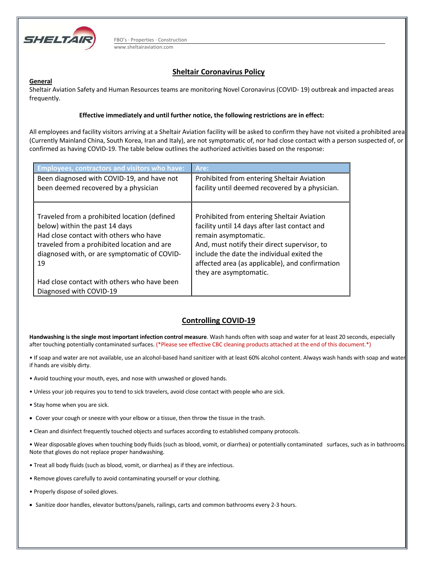

FBO's · Properties · Construction www.sheltairaviation.com

# **Sheltair Coronavirus Policy**

### **General**

Sheltair Aviation Safety and Human Resources teams are monitoring Novel Coronavirus (COVID- 19) outbreak and impacted areas frequently.

### **Effective immediately and until further notice, the following restrictions are in effect:**

All employees and facility visitors arriving at a Sheltair Aviation facility will be asked to confirm they have not visited a prohibited area (Currently Mainland China, South Korea, Iran and Italy), are not symptomatic of, nor had close contact with a person suspected of, or confirmed as having COVID-19. The table below outlines the authorized activities based on the response:

| <b>Employees, contractors and visitors who have:</b>                                                                                                                                                                          | Are:                                                                                                                                                                                                                                                                                           |
|-------------------------------------------------------------------------------------------------------------------------------------------------------------------------------------------------------------------------------|------------------------------------------------------------------------------------------------------------------------------------------------------------------------------------------------------------------------------------------------------------------------------------------------|
| Been diagnosed with COVID-19, and have not<br>been deemed recovered by a physician                                                                                                                                            | Prohibited from entering Sheltair Aviation<br>facility until deemed recovered by a physician.                                                                                                                                                                                                  |
|                                                                                                                                                                                                                               |                                                                                                                                                                                                                                                                                                |
| Traveled from a prohibited location (defined<br>below) within the past 14 days<br>Had close contact with others who have<br>traveled from a prohibited location and are<br>diagnosed with, or are symptomatic of COVID-<br>19 | Prohibited from entering Sheltair Aviation<br>facility until 14 days after last contact and<br>remain asymptomatic.<br>And, must notify their direct supervisor, to<br>include the date the individual exited the<br>affected area (as applicable), and confirmation<br>they are asymptomatic. |
| Had close contact with others who have been<br>Diagnosed with COVID-19                                                                                                                                                        |                                                                                                                                                                                                                                                                                                |

## **Controlling COVID-19**

**Handwashing is the single most important infection control measure**. Wash hands often with soap and water for at least 20 seconds, especially after touching potentially contaminated surfaces. (\*Please see effective CBC cleaning products attached at the end of this document.\*)

- If soap and water are not available, use an alcohol-based hand sanitizer with at least 60% alcohol content. Always wash hands with soap and water if hands are visibly dirty.
- Avoid touching your mouth, eyes, and nose with unwashed or gloved hands.
- Unless your job requires you to tend to sick travelers, avoid close contact with people who are sick.
- Stay home when you are sick.
- Cover your cough or sneeze with your elbow or a tissue, then throw the tissue in the trash.
- Clean and disinfect frequently touched objects and surfaces according to established company protocols.

• Wear disposable gloves when touching body fluids (such as blood, vomit, or diarrhea) or potentially contaminated surfaces, such as in bathrooms. Note that gloves do not replace proper handwashing.

- Treat all body fluids (such as blood, vomit, or diarrhea) as if they are infectious.
- Remove gloves carefully to avoid contaminating yourself or your clothing.
- Properly dispose of soiled gloves.
- Sanitize door handles, elevator buttons/panels, railings, carts and common bathrooms every 2-3 hours.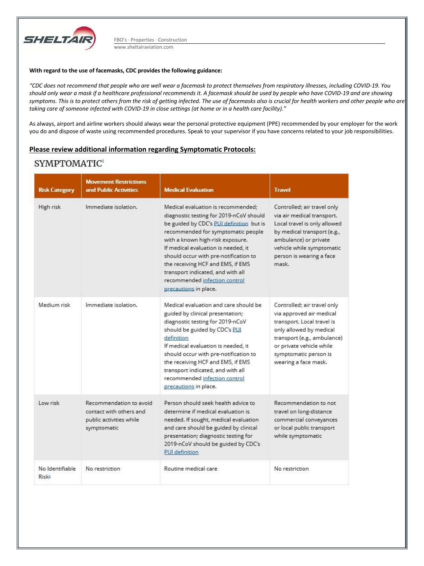

FBO's · Properties · Construction www.sheltairaviation.com

#### **With regard to the use of facemasks, CDC provides the following guidance:**

*"CDC does not recommend that people who are well wear a facemask to protect themselves from respiratory illnesses, including COVID-19. You should only wear a mask if a healthcare professional recommends it. A facemask should be used by people who have COVID-19 and are showing symptoms. This is to protect others from the risk of getting infected. The use of facemasks also is crucial for health workers and other people who are taking care of someone infected with COVID-19 in close settings (at home or in a health care facility)."* 

As always, airport and airline workers should always wear the personal protective equipment (PPE) recommended by your employer for the work you do and dispose of waste using recommended procedures. Speak to your supervisor if you have concerns related to your job responsibilities.

### **Please review additional information regarding Symptomatic Protocols:**

# SYMPTOMATIC<sup>1</sup>

| <b>Risk Category</b>                 | <b>Movement Restrictions</b><br>and Public Activities                                        | <b>Medical Evaluation</b>                                                                                                                                                                                                                                                                                                                                                                                               | <b>Travel</b>                                                                                                                                                                                                                |
|--------------------------------------|----------------------------------------------------------------------------------------------|-------------------------------------------------------------------------------------------------------------------------------------------------------------------------------------------------------------------------------------------------------------------------------------------------------------------------------------------------------------------------------------------------------------------------|------------------------------------------------------------------------------------------------------------------------------------------------------------------------------------------------------------------------------|
| High risk                            | Immediate isolation.                                                                         | Medical evaluation is recommended;<br>diagnostic testing for 2019-nCoV should<br>be guided by CDC's PUI definition but is<br>recommended for symptomatic people<br>with a known high-risk exposure.<br>If medical evaluation is needed, it<br>should occur with pre-notification to<br>the receiving HCF and EMS, if EMS<br>transport indicated, and with all<br>recommended infection control<br>precautions in place. | Controlled; air travel only<br>via air medical transport.<br>Local travel is only allowed<br>by medical transport (e.g.,<br>ambulance) or private<br>vehicle while symptomatic<br>person is wearing a face<br>mask.          |
| Medium risk                          | Immediate isolation.                                                                         | Medical evaluation and care should be<br>guided by clinical presentation;<br>diagnostic testing for 2019-nCoV<br>should be guided by CDC's PUI<br>definition<br>If medical evaluation is needed, it<br>should occur with pre-notification to<br>the receiving HCF and EMS, if EMS<br>transport indicated, and with all<br>recommended infection control<br>precautions in place.                                        | Controlled; air travel only<br>via approved air medical<br>transport. Local travel is<br>only allowed by medical<br>transport (e.g., ambulance)<br>or private vehicle while<br>symptomatic person is<br>wearing a face mask. |
| Low risk                             | Recommendation to avoid<br>contact with others and<br>public activities while<br>symptomatic | Person should seek health advice to<br>determine if medical evaluation is<br>needed. If sought, medical evaluation<br>and care should be guided by clinical<br>presentation; diagnostic testing for<br>2019-nCoV should be guided by CDC's<br><b>PUI</b> definition                                                                                                                                                     | Recommendation to not<br>travel on long-distance<br>commercial conveyances<br>or local public transport<br>while symptomatic                                                                                                 |
| No Identifiable<br>Risk <sup>2</sup> | No restriction                                                                               | Routine medical care                                                                                                                                                                                                                                                                                                                                                                                                    | No restriction                                                                                                                                                                                                               |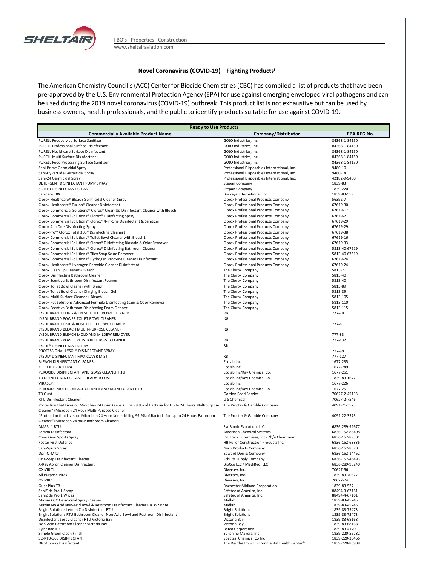

FBO's · Properties · Construction www.sheltairaviation.com

#### **Novel Coronavirus (COVID-19)—Fighting Products<sup>i</sup>**

The American Chemistry Council's (ACC) Center for Biocide Chemistries (CBC) has compiled a list of products that have been pre-approved by the U.S. Environmental Protection Agency (EPA) for use against emerging enveloped viral pathogens and can be used during the 2019 novel coronavirus (COVID-19) outbreak. This product list is not exhaustive but can be used by business owners, health professionals, and the public to identify products suitable for use against COVID-19.

| <b>Ready to Use Products</b>                                                                                 |                                                                              |                                 |  |
|--------------------------------------------------------------------------------------------------------------|------------------------------------------------------------------------------|---------------------------------|--|
| <b>Commercially Available Product Name</b>                                                                   | Company/Distributor                                                          | <b>EPA REG No.</b>              |  |
| PURELL Foodservice Surface Sanitizer                                                                         | GOJO Industries, Inc.                                                        | 84368-1-84150                   |  |
| <b>PURELL Professional Surface Disinfectant</b>                                                              | GOJO Industries, Inc.                                                        | 84368-1-84150                   |  |
| PURELL Healthcare Surface Disinfectant                                                                       | GOJO Industries, Inc.                                                        | 84368-1-84150                   |  |
| PURELL Multi Surface Disinfectant                                                                            | GOJO Industries, Inc.                                                        | 84368-1-84150                   |  |
| <b>PURELL Food Processing Surface Sanitizer</b><br>Sani-Prime Germicidal Spray                               | GOJO Industries, Inc.<br>Professional Disposables International, Inc.        | 84368-1-84150<br>9480-10        |  |
| Sani-HyPerCide Germicidal Spray                                                                              | Professional Disposables International, Inc.                                 | 9480-14                         |  |
| Sani-24 Germicidal Spray                                                                                     | Professional Disposables International, Inc.                                 | 42182-9-9480                    |  |
| DETERGENT DISINFECTANT PUMP SPRAY                                                                            | <b>Stepan Company</b>                                                        | 1839-83                         |  |
| SC-RTU DISINFECTANT CLEANER                                                                                  | <b>Stepan Company</b>                                                        | 1839-220                        |  |
| Sanicare TBX                                                                                                 | Buckeye International, Inc.                                                  | 1839-83-559                     |  |
| Clorox Healthcare® Bleach Germicidal Cleaner Spray                                                           | Clorox Professional Products Company                                         | 56392-7                         |  |
| Clorox Healthcare® Fuzion® Cleaner Disinfectant                                                              | Clorox Professional Products Company                                         | 67619-30                        |  |
| Clorox Commericial Solutions® Clorox® Clean-Up Disinfectant Cleaner with Bleach1                             | Clorox Professional Products Company                                         | 67619-17                        |  |
| Clorox Commercial Solutions® Clorox® Disinfecting Spray                                                      | Clorox Professional Products Company                                         | 67619-21                        |  |
| Clorox Commercial Solutions® Clorox® 4-in-One Disinfectant & Sanitizer<br>Clorox 4 In One Disinfecting Spray | Clorox Professional Products Company<br>Clorox Professional Products Company | 67619-29<br>67619-29            |  |
| CloroxPro <sup>™</sup> Clorox Total 360 <sup>®</sup> Disinfecting Cleaner1                                   | Clorox Professional Products Company                                         | 67619-38                        |  |
| Clorox Commercial Solutions® Toilet Bowl Cleaner with Bleach1                                                | Clorox Professional Products Company                                         | 67619-16                        |  |
| Clorox Commercial Solutions® Clorox® Disinfecting Biostain & Odor Remover                                    | Clorox Professional Products Company                                         | 67619-33                        |  |
| Clorox Commercial Solutions® Clorox® Disinfecting Bathroom Cleaner                                           | Clorox Professional Products Company                                         | 5813-40-67619                   |  |
| Clorox Commercial Solutions® Tilex Soap Scum Remover                                                         | Clorox Professional Products Company                                         | 5813-40-67619                   |  |
| Clorox Commercial Solutions® Hydrogen Peroxide Cleaner Disinfectant                                          | Clorox Professional Products Company                                         | 67619-24                        |  |
| Clorox Healthcare® Hydrogen Peroxide Cleaner Disinfectant                                                    | Clorox Professional Products Company                                         | 67619-24                        |  |
| Clorox Clean Up Cleaner + Bleach                                                                             | The Clorox Company                                                           | 5813-21                         |  |
| Clorox Disinfecting Bathroom Cleaner                                                                         | The Clorox Company                                                           | 5813-40                         |  |
| Clorox Scentiva Bathroom Disinfectant Foamer<br>Clorox Toilet Bowl Cleaner with Bleach                       | The Clorox Company                                                           | 5813-40<br>5813-89              |  |
| Clorox Toilet Bowl Cleaner Clinging Bleach Gel                                                               | The Clorox Company<br>The Clorox Company                                     | 5813-89                         |  |
| Clorox Multi Surface Cleaner + Bleach                                                                        | The Clorox Company                                                           | 5813-105                        |  |
| Clorox Pet Solutions Advanced Formula Disinfecting Stain & Odor Remover                                      | The Clorox Company                                                           | 5813-110                        |  |
| Clorox Scentiva Bathroom Disinfecting Foam Cleaner                                                           | The Clorox Company                                                           | 5813-115                        |  |
| LYSOL BRAND CLING & FRESH TOILET BOWL CLEANER                                                                | RB                                                                           | 777-70                          |  |
| LYSOL BRAND POWER TOILET BOWL CLEANER                                                                        | <b>RB</b>                                                                    |                                 |  |
| LYSOL BRAND LIME & RUST TOILET BOWL CLEANER                                                                  |                                                                              | 777-81                          |  |
| LYSOL BRAND BLEACH MULTI-PURPOSE CLEANER                                                                     | <b>RB</b>                                                                    |                                 |  |
| LYSOL BRAND BLEACH MOLD AND MILDEW REMOVER<br>LYSOL BRAND POWER PLUS TOILET BOWL CLEANER                     |                                                                              | 777-83<br>777-132               |  |
| LYSOL® DISINFECTANT SPRAY                                                                                    | RB<br><b>RB</b>                                                              |                                 |  |
| PROFESSIONAL LYSOL® DISINFECTANT SPRAY                                                                       |                                                                              | 777-99                          |  |
| LYSOL® DISINEFCTANT MAX COVER MIST                                                                           | RB                                                                           | 777-127                         |  |
| BLEACH DISINFECTANT CLEANER                                                                                  | Ecolab Inc                                                                   | 1677-235                        |  |
| KLERCIDE 70/30 IPA                                                                                           | Ecolab Inc                                                                   | 1677-249                        |  |
| PEROXIDE DISINFECTANT AND GLASS CLEANER RTU                                                                  | Ecolab Inc/Kay Chemical Co.                                                  | 1677-251                        |  |
| TB DISINFECTANT CLEANER READY-TO-USE                                                                         | Ecolab Inc/Kay Chemical Co.                                                  | 1839-83-1677                    |  |
| VIRASEPT                                                                                                     | Ecolab Inc                                                                   | 1677-226                        |  |
| PEROXIDE MULTI SURFACE CLEANER AND DISINFECTANT RTU<br>TB Quat                                               | Ecolab Inc/Kay Chemical Co.<br>Gordon Food Service                           | 1677-251<br>70627-2-45133       |  |
| <b>RTU Disinfectant Cleaner</b>                                                                              | U S Chemical                                                                 | 70627-2-7546                    |  |
| Protection that Lives on Microban 24 Hour Keeps Killing 99.9% of Bacteria for Up to 24 Hours Multipurpose    | The Procter & Gamble Company                                                 | 4091-21-3573                    |  |
| Cleaner" (Microban 24 Hour Multi-Purpose Cleaner)                                                            |                                                                              |                                 |  |
| "Protection that Lives on Microban 24 Hour Keeps Killing 99.9% of Bacteria for Up to 24 Hours Bathroom       | The Procter & Gamble Company                                                 | 4091-22-3573                    |  |
| Cleaner" (Microban 24 hour Bathroom Cleaner)                                                                 |                                                                              |                                 |  |
| MAPS-1 RTU                                                                                                   | SynBionic Evolution, LLC.                                                    | 6836-289-92677                  |  |
| Lemon Disinfectant                                                                                           | American Chemical Systems                                                    | 6836-152-86408                  |  |
| Clear Gear Sports Spray                                                                                      | On Track Enterprises, Inc d/b/a Clear Gear                                   | 6836-152-89301                  |  |
| Foster First Defense                                                                                         | HB Fuller Construction Products Inc.                                         | 6836-152-63836                  |  |
| Sani-Spritz Spray<br>Don-O-Mite                                                                              | Nyco Products Company<br>Edward Don & Company                                | 6836-152-8370<br>6836-152-14462 |  |
| One-Step Disinfectant Cleaner                                                                                | Schultz Supply Company                                                       | 6836-152-46493                  |  |
| X-Ray Apron Cleaner Disinfectant                                                                             | BioXco LLC / MediRedi LLC                                                    | 6836-289-93240                  |  |
| <b>OXIVIR Tb</b>                                                                                             | Diversey, Inc.                                                               | 70627-56                        |  |
| All Purpose Virex                                                                                            | Diversey, Inc.                                                               | 1839-83-70627                   |  |
| OXIVIR 1                                                                                                     | Diversey, Inc.                                                               | 70627-74                        |  |
| Quat Plus TB                                                                                                 | Rochester Midland Corporation                                                | 1839-83-527                     |  |
| SaniZide Pro 1 Spray                                                                                         | Safetec of America, Inc.                                                     | 88494-3-67161                   |  |
| SaniZide Pro 1 Wipes<br>Maxim GSC Germicidal Spray Cleaner                                                   | Safetec of America, Inc.<br>Midlab                                           | 88494-4-67161<br>1839-83-45745  |  |
| Maxim No Acid Non-Acid Bowl & Restroom Disinfectant Cleaner RB 352 Brite                                     | Midlab                                                                       | 1839-83-45745                   |  |
| Bright Solutions Lemon Zip Disinfectant RTU                                                                  | <b>Bright Solutions</b>                                                      | 1839-83-75473                   |  |
| Bright Solutions RTU Bathroom Cleaner Non-Acid Bowl and Restroom Disinfectant                                | <b>Bright Solutions</b>                                                      | 1839-83-75473                   |  |
| Disinfectant Spray Cleaner RTU Victoria Bay<br>Non-Acid Bathroom Cleaner Victoria Bay                        | Victoria Bay<br>Victoria Bay                                                 | 1839-83-68168<br>1839-83-68168  |  |
| Fight Bac RTU                                                                                                | <b>Betco Corporation</b>                                                     | 1839-83-4170                    |  |
| Simple Green Clean Finish                                                                                    | Sunshine Makers, Inc.                                                        | 1839-220-56782                  |  |
| SC-RTU-360 DISINFECTANT                                                                                      | Spectral Chemical Co Inc                                                     | 1839-220-33466                  |  |
| DIC-1 Spray Disinfectant                                                                                     | The Deirdre Imus Environmental Health Center®                                | 1839-220-83908                  |  |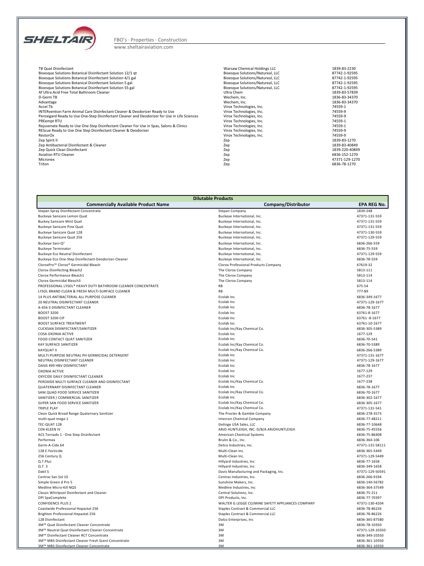

### www.sheltairaviation.com

| TB Quat Disinfectant                                                                          | Warsaw Chemical Holdings LLC     | 1839-83-2230   |
|-----------------------------------------------------------------------------------------------|----------------------------------|----------------|
| Bioesque Solutions Botanical Disinfectant Solution 12/1 gt                                    | Bioesque Solutions/Natureal, LLC | 87742-1-92595  |
| Bioesque Solutions Botanical Disinfectant Solution 4/1 gal                                    | Bioesque Solutions/Natureal, LLC | 87742-1-92595  |
| Bioesque Solutions Botanical Disinfectant Solution 5 gal                                      | Bioesque Solutions/Natureal, LLC | 87742-1-92595  |
| Bioesque Solutions Botanical Disinfectant Solution 55 gal                                     | Bioesque Solutions/Natureal, LLC | 87742-1-92595  |
| Af Ultra Acid Free Total Bathroom Cleaner                                                     | Ultra Chem                       | 1839-83-57839  |
| D-Germ TB                                                                                     | Wechem. Inc.                     | 1836-83-34370  |
| Advantage                                                                                     | Wechem. Inc.                     | 1836-83-34370  |
| Accel Tb                                                                                      | Virox Technologies, Inc.         | 74559-1        |
| INTERvention Farm Animal Care Disinfectant Cleaner & Deodorizer Ready to Use                  | Virox Technologies, Inc.         | 74559-9        |
| Peroxigard Ready to Use One-Step Disinfectant Cleaner and Deodorizer for Use in Life Sciences | Virox Technologies, Inc.         | 74559-9        |
| PREempt RTU                                                                                   | Virox Technologies, Inc.         | 74559-1        |
| Rejuvenate Ready to Use One Step Disinfectant Cleaner For Use in Spas, Salons & Clinics       | Virox Technologies, Inc.         | 74559-1        |
| REScue Ready to Use One Step Disinfectant Cleaner & Deodorizer                                | Virox Technologies, Inc.         | 74559-9        |
| RestorOx                                                                                      | Virox Technologies, Inc.         | 74559-9        |
| Zep Spirit II                                                                                 | Zep                              | 1839-83-1270   |
| Zep Antibacterial Disinfectant & Cleaner                                                      | Zep                              | 1839-83-40849  |
| Zep Quick Clean Disinfectant                                                                  | Zep                              | 1839-220-40849 |
| <b>Aviation RTU Cleaner</b>                                                                   | Zep                              | 6836-152-1270  |
| Micronex                                                                                      | Zep                              | 47371-129-1270 |
| Triton                                                                                        | Zep                              | 6836-78-1270   |

| <b>Dilutable Products</b>                                                                        |                                                                    |                                  |  |
|--------------------------------------------------------------------------------------------------|--------------------------------------------------------------------|----------------------------------|--|
| <b>Commercially Available Product Name</b>                                                       | Company/Distributor                                                | <b>EPA REG No.</b>               |  |
| Stepan Spray Disinfectant Concentrate                                                            | Stepan Company                                                     | 1839-248                         |  |
| Buckeye Sanicare Lemon Quat                                                                      | Buckeye International, Inc.                                        | 47371-131-559                    |  |
| <b>Buckey Sanicare Mint Quat</b>                                                                 | Buckeye International, Inc.                                        | 47371-131-559                    |  |
| <b>Buckeye Sanicare Pine Quat</b>                                                                | Buckeye International, Inc.                                        | 47371-131-559                    |  |
| Buckeye Sanicare Quat 128                                                                        | Buckeye International, Inc.                                        | 47371-130-559                    |  |
| Buckeye Sanicare Quat 256                                                                        | Buckeye International, Inc.                                        | 47371-129-559                    |  |
| Buckeye Sani-Q <sup>2</sup>                                                                      | Buckeye International, Inc.                                        | 6836-266-559                     |  |
| <b>Buckeye Terminator</b>                                                                        | Buckeye International, Inc.                                        | 6836-75-559                      |  |
| <b>Buckeye Eco Neutral Disinfectant</b>                                                          | Buckeye International, Inc.                                        | 47371-129-559                    |  |
| Buckeye Eco One-Step Disinfectant-Deodorizer-Cleaner                                             | Buckeye International, Inc.                                        | 6836-78-559                      |  |
| CloroxPro™ Clorox® Germicidal Bleach                                                             | Clorox Professional Products Company                               | 67619-32                         |  |
| Clorox Disinfecting Bleach2                                                                      | The Clorox Company                                                 | 5813-111                         |  |
| Clorox Performance Bleach1                                                                       | The Clorox Company                                                 | 5813-114                         |  |
| Clorox Germicidal Bleach3                                                                        | The Clorox Company                                                 | 5813-114                         |  |
| PROFESSIONAL LYSOL® HEAVY DUTY BATHROOM CLEANER CONCENTRATE                                      | <b>RB</b><br><b>RB</b>                                             | 675-54<br>777-89                 |  |
| LYSOL BRAND CLEAN & FRESH MULTI-SURFACE CLEANER<br>14 PLUS ANTIBACTERIAL ALL PURPOSE CLEANER     | Ecolab Inc                                                         | 6836-349-1677                    |  |
| 20 NEUTRAL DISINFECTANT CLEANER                                                                  | Ecolab Inc                                                         | 47371-129-1677                   |  |
| A-456 II DISINFECTANT CLEANER                                                                    | Ecolab Inc                                                         | 6836-78-1677                     |  |
| <b>BOOST 3200</b>                                                                                | Ecolab Inc                                                         | 63761-8-1677                     |  |
| BOOST 3200 CIP                                                                                   | Ecolab Inc                                                         | 63761-8-1677                     |  |
| <b>BOOST SURFACE TREATMENT</b>                                                                   | Ecolab Inc                                                         | 63761-10-1677                    |  |
| CLICKSAN DISINFECTANT/SANITIZER                                                                  | Ecolab Inc/Kay Chemical Co.                                        | 6836-305-5389                    |  |
| COSA OXONIA ACTIVE                                                                               | Ecolab Inc                                                         | 1677-129                         |  |
| FOOD CONTACT QUAT SANITIZER                                                                      | Ecolab Inc                                                         | 6836-70-541                      |  |
| KAY SURFACE SANITIZER                                                                            | Ecolab Inc/Kay Chemical Co.                                        | 6836-70-5389                     |  |
| <b>KAYOUAT II</b>                                                                                | Ecolab Inc/Kay Chemical Co.                                        | 6836-266-5389                    |  |
| MULTI-PURPOSE NEUTRAL PH GERMICIDAL DETERGENT                                                    | Ecolab Inc                                                         | 47371-131-1677                   |  |
| NEUTRAL DISINFECTANT CLEANER                                                                     | Ecolab Inc                                                         | 47371-129-1677                   |  |
| OASIS 499 HBV DISINFECTANT                                                                       | Ecolab Inc                                                         | 6836-78-1677                     |  |
| <b>OXONIA ACTIVE</b>                                                                             | Ecolab Inc                                                         | 1677-129                         |  |
| OXYCIDE DAILY DISINFECTANT CLEANER                                                               | Ecolab Inc                                                         | 1677-237                         |  |
| PEROXIDE MULTI SURFACE CLEANER AND DISINFECTANT                                                  | Ecolab Inc/Kay Chemical Co.                                        | 1677-238                         |  |
| QUATERNARY DISINFECTANT CLEANER                                                                  | Ecolab Inc                                                         | 6836-78-1677                     |  |
| SANI QUAD FOOD SERVICE SANITIZER                                                                 | Ecolab Inc/Kay Chemical Co.                                        | 6836-70-1677                     |  |
| SANITIZER / COMMERCIAL SANITIZER                                                                 | Ecolab Inc                                                         | 6836-302-1677                    |  |
| SUPER SAN FOOD SERVICE SANITIZER                                                                 | Ecolab Inc/Kay Chemical Co.                                        | 6836-305-1677                    |  |
| <b>TRIPLE PLAY</b>                                                                               | Ecolab Inc/Kay Chemical Co.                                        | 47371-131-541                    |  |
| Clean Quick Broad Range Quaternary Sanitizer                                                     | The Procter & Gamble Company                                       | 6836-278-3573                    |  |
| multi-quat mega-1                                                                                | <b>Intercon Chemical Company</b>                                   | 6836-77-48211                    |  |
| TEC-QUAT 128<br>CEN-KLEEN IV                                                                     | Getinge USA Sales, LLC<br>ARJO HUNTLEIGH, INC. D/B/A ARJOHUNTLEIGH | 6836-77-10648<br>6836-75-45556   |  |
| ACS Tornado 1 - One Step Disinfectant                                                            | American Chemical Systems                                          | 6836-75-86408                    |  |
| Performex                                                                                        | Brulin & Co., Inc.                                                 | 6836-364-106                     |  |
| Germ-A-Cide 64                                                                                   | Detco Industries, Inc.                                             | 47371-131-58111                  |  |
| 128 E-Fecticide                                                                                  | Multi-Clean Inc.                                                   | 6836-365-5449                    |  |
| 256 Century Q                                                                                    | Multi-Clean Inc.                                                   | 47371-129-5449                   |  |
| Q.T.Plus                                                                                         | Hillyard Industries, Inc                                           | 6836-77-1658                     |  |
| Q.T.3                                                                                            | Hillyard Industries, Inc.                                          | 6836-349-1658                    |  |
| Dakil S                                                                                          | Davis Manufacturing and Packaging, Inc.                            | 47371-129-50591                  |  |
| Centraz San Sol 10                                                                               | Centraz Industries, Inc.                                           | 6836-266-9194                    |  |
| Simple Green d Pro 5                                                                             | Sunshine Makers, Inc.                                              | 6836-140-56782                   |  |
| Medline Micro-Kill NO5                                                                           | Medline Industries, Inc.                                           | 6836-364-37549                   |  |
| Classic Whirlpool Disinfectant and Cleaner                                                       | Central Solutions, Inc.                                            | 6836-75-211                      |  |
| OPI SpaComplete                                                                                  | OPI Products, Inc.                                                 | 6836-77-70397                    |  |
| <b>CONFIDENCE PLUS 2</b>                                                                         | WALTER G LEGGE CO/MINE SAFETY APPLIANCES COMPANY                   | 47371-130-4204                   |  |
| Coastwide Professional Hepastat 256                                                              | Staples Contract & Commercial LLC                                  | 6836-78-86226                    |  |
| Brighton Professional Hepastat 256                                                               | Staples Contract & Commercial LLC                                  | 6836-78-86226                    |  |
| 128 Disinfectant                                                                                 | Dalco Enterprises, Inc.                                            | 6836-365-87580                   |  |
| 3M™ Quat Disinfectant Cleaner Concentrate                                                        | 3M                                                                 | 6836-78-10350                    |  |
| 3M™ Neutral Quat Disinfectant Cleaner Concentrate                                                | 3M                                                                 | 47371-129-10350                  |  |
| 3M™ Disinfectant Cleaner RCT Concentrate                                                         | 3M                                                                 | 6836-349-10350                   |  |
| 3M™ MBS Disinfectant Cleaner Fresh Scent Concentrate<br>3M™ MBS Disinfectant Cleaner Concentrate | 3M<br>٩M                                                           | 6836-361-10350<br>6836-361-10350 |  |
|                                                                                                  |                                                                    |                                  |  |